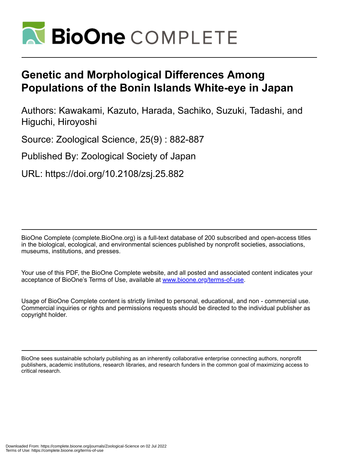

# **Genetic and Morphological Differences Among Populations of the Bonin Islands White-eye in Japan**

Authors: Kawakami, Kazuto, Harada, Sachiko, Suzuki, Tadashi, and Higuchi, Hiroyoshi

Source: Zoological Science, 25(9) : 882-887

Published By: Zoological Society of Japan

URL: https://doi.org/10.2108/zsj.25.882

BioOne Complete (complete.BioOne.org) is a full-text database of 200 subscribed and open-access titles in the biological, ecological, and environmental sciences published by nonprofit societies, associations, museums, institutions, and presses.

Your use of this PDF, the BioOne Complete website, and all posted and associated content indicates your acceptance of BioOne's Terms of Use, available at www.bioone.org/terms-of-use.

Usage of BioOne Complete content is strictly limited to personal, educational, and non - commercial use. Commercial inquiries or rights and permissions requests should be directed to the individual publisher as copyright holder.

BioOne sees sustainable scholarly publishing as an inherently collaborative enterprise connecting authors, nonprofit publishers, academic institutions, research libraries, and research funders in the common goal of maximizing access to critical research.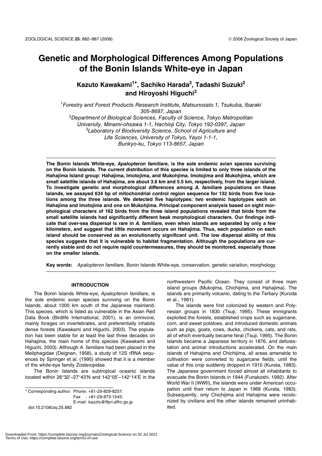## **Genetic and Morphological Differences Among Populations of the Bonin Islands White-eye in Japan**

### **Kazuto Kawakami1\*, Sachiko Harada2, Tadashi Suzuki2 and Hiroyoshi Higuchi<sup>3</sup>**

<sup>1</sup>Forestry and Forest Products Research Institute, Matsunosato 1, Tsukuba, Ibaraki 305-8687, Japan <sup>2</sup>Department of Biological Sciences, Faculty of Science, Tokyo Metropolitan University, Minami-ohsawa 1-1, Hachioji City, Tokyo 192-0397, Japan <sup>3</sup>Laboratory of Biodiversity Science, School of Agriculture and Life Sciences, University of Tokyo, Yayoi 1-1-1, Bunkyo-ku, Tokyo 113-8657, Japan

**The Bonin Islands White-eye,** *Apalopteron familiare***, is the sole endemic avian species surviving on the Bonin Islands. The current distribution of this species is limited to only three islands of the Hahajima Island group: Hahajima, Imotojima, and Mukohjima. Imotojima and Mukohjima, which are small satellite islands of Hahajima, are about 3.6 km and 5.5 km, respectively, from the larger island. To investigate genetic and morphological differences among** *A. familiare* **populations on these islands, we assayed 634 bp of mitochondrial control region sequence for 132 birds from five locations among the three islands. We detected five haplotypes: two endemic haplotypes each on Hahajima and Imotojima and one on Mukohjima. Principal component analysis based on eight morphological characters of 162 birds from the three island populations revealed that birds from the small satellite islands had significantly different beak morphological characters. Our findings indicate that over-sea dispersal is rare in** *A. familiare***, even when islands are separated by only a few kilometers, and suggest that little movement occurs on Hahajima. Thus, each population on each island should be conserved as an evolutionarily significant unit. The low dispersal ability of this species suggests that it is vulnerable to habitat fragmentation. Although the populations are currently stable and do not require rapid countermeasures, they should be monitored, especially those on the smaller islands.**

**Key words:** Apalopteron familiare, Bonin Islands White-eye, conservation, genetic variation, morphology

#### **INTRODUCTION**

The Bonin Islands White-eye, Apalopteron familiare, is the sole endemic avian species surviving on the Bonin Islands, about 1000 km south of the Japanese mainland. This species, which is listed as vulnerable in the Asian Red Data Book (Birdlife International, 2001), is an omnivore, mainly forages on invertebrates, and preferentially inhabits dense forests (Kawakami and Higuchi, 2003). The population has been stable for at least the last three decades on Hahajima, the main home of this species (Kawakami and Higuchi, 2003). Although A. familiare had been placed in the Meliphagidae (Deignan, 1958), a study of 12S rRNA sequences by Springer et al. (1995) showed that it is a member of the white-eye family Zosteropidae.

The Bonin Islands are subtropical oceanic islands located within 26°32'–27°43'N and 142°05'–142°14'E in the

\* Corresponding author. Phone: +81-29-829-8257; Fax : +81-29-873-1543; E-mail: kazzto@ffpri.affrc.go.jp doi:10.2108/zsj.25.882

northwestern Pacific Ocean. They consist of three main island groups (Mukojima, Chichijima, and Hahajima). The islands are primarily volcanic, dating to the Tertiary (Kuroda et al., 1981).

The islands were first colonized by western and Polynesian groups in 1830 (Tsuji, 1995). These immigrants exploited the forests, established crops such as sugarcane, corn, and sweet potatoes, and introduced domestic animals such as pigs, goats, cows, ducks, chickens, cats, and rats, all of which eventually became feral (Tsuji, 1995). The Bonin Islands became a Japanese territory in 1876, and deforestation and animal introductions accelerated. On the main islands of Hahajima and Chichijima, all areas amenable to cultivation were converted to sugarcane fields, until the value of this crop suddenly dropped in 1910 (Kurata, 1983). The Japanese government forced almost all inhabitants to evacuate the Bonin Islands in 1944 (Funakoshi, 1992). After World War II (WWII), the islands were under American occupation until their return to Japan in 1968 (Kurata, 1983). Subsequently, only Chichijima and Hahajima were recolonized by civilians and the other islands remained uninhabited.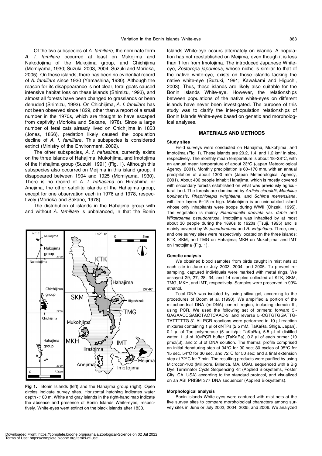Of the two subspecies of A. familiare, the nominate form A. f. familiare occurred at least on Mukojima and Nakodojima of the Mukojima group, and Chichijima (Momiyama, 1930; Suzuki, 2003, 2004; Suzuki and Morioka, 2005). On these islands, there has been no evidential record of A. familiare since 1930 (Yamashina, 1930). Although the reason for its disappearance is not clear, feral goats caused intensive habitat loss on these islands (Shimizu, 1993), and almost all forests have been changed to grasslands or been denuded (Shimizu, 1993). On Chichijima, A. f. familiare has not been observed since 1829, other than a report of a small number in the 1970s, which are thought to have escaped from captivity (Morioka and Sakane, 1978). Since a large number of feral cats already lived on Chichijima in 1853 (Jones, 1856), predation likely caused the population decline of A. f. familiare. This subspecies is considered extinct (Ministry of the Environment, 2002).

The other subspecies, A. f. hahasima, currently exists on the three islands of Hahajima, Mukohjima, and Imotojima of the Hahajima group (Suzuki, 1991) (Fig. 1). Although this subspecies also occurred on Meijima in this island group, it disappeared between 1904 and 1925 (Momiyama, 1930). There is no record of A. f. hahasima on Hirashima or Anejima, the other satellite islands of the Hahajima group, except for one observation each in 1976 and 1978, respectively (Morioka and Sakane, 1978).

The distribution of islands in the Hahajima group with and without A. familiare is unbalanced, in that the Bonin



**Fig 1.** Bonin Islands (left) and the Hahajima group (right). Open circles indicate survey sites. Horizontal hatching indicates water depth <100 m. White and gray islands in the right-hand map indicate the absence and presence of Bonin Islands White-eyes, respectively. White-eyes went extinct on the black islands after 1830.

Islands White-eye occurs alternately on islands. A population has not reestablished on Meijima, even though it is less than 1 km from Imotojima. The introduced Japanese Whiteeye, Zosterops japonicus, whose niche is similar to that of the native white-eye, exists on those islands lacking the native white-eye (Suzuki, 1991; Kawakami and Higuchi, 2003). Thus, these islands are likely also suitable for the Bonin Islands White-eye. However, the relationships between populations of the native white-eyes on different islands have never been investigated. The purpose of this study was to clarify the inter-population relationships of Bonin Islands White-eyes based on genetic and morphological analyses.

#### **MATERIALS AND METHODS**

#### **Study sites**

Field surveys were conducted on Hahajima, Mukohjima, and Imotojima (Fig. 1). These islands are 20.2, 1.4, and 1.2  $km^2$  in size, respectively. The monthly mean temperature is about 18–28°C, with an annual mean temperature of about 23°C (Japan Meteorological Agency, 2001). Monthly precipitation is 60–170 mm, with an annual precipitation of about 1300 mm (Japan Meteorological Agency, 2001). About 400 people inhabit Hahajima, which is mostly covered with secondary forests established on what was previously agricultural land. The forests are dominated by Ardisia sieboldii, Machilus boninensis, Rhaphiolepis wrightiana, and Schima mertensiana, with tree layers 5–15 m high. Mukohjima is an uninhabited island whose only inhabitants were troops during WWII (Ohzeki, 1995). The vegetation is mainly Planchonella obovata var. dubia and Wikstroemia pseudoretusa. Imotojima was inhabited by at most about 30 people during the 1890s to 1920s (Tsuji, 1995) and is mainly covered by W. pseudoretusa and R. wrightiana. Three, one, and one survey sites were respectively located on the three islands: KTK, SKM, and TMG on Hahajima; MKH on Mukohjima; and IMT on Imotojima (Fig. 1).

#### **Genetic analysis**

We obtained blood samples from birds caught in mist nets at each site in June or July 2003, 2004, and 2005. To prevent resampling, captured individuals were marked with metal rings. We assayed 29, 27, 28, 34, and 14 samples collected at KTK, SKM, TMG, MKH, and IMT, respectively. Samples were preserved in 99% ethanol.

Total DNA was isolated by using silica gel, according to the procedures of Boom et al. (1990). We amplified a portion of the mitochondrial DNA (mtDNA) control region, including domain III, using PCR. We used the following set of primers: forward 5'- GAGAACCGAGCTACTCAAC-3' and reverse 5'-CGTGTGGATTG-TATTTTTG-3'. All PCR reactions were performed in 10-μl reaction mixtures containing 1 μl of dNTPs (2.5 mM, TaKaRa, Shiga, Japan), 0.1 μl of Taq polymerase (5 units/μl; TaKaRa), 5.5 μl of distilled water, 1 μl of 10×PCR buffer (TaKaRa), 0.2 μl of each primer (10 pmol/μl), and 2 μl of DNA solution. The thermal profile comprised an initial denaturing step at 94°C for 90 sec; 30 cycles of 95°C for 15 sec, 54°C for 30 sec, and 72°C for 50 sec; and a final extension step at 72°C for 7 min. The resulting products were purified by using Microcon-100 (Millipore, Billerica, MA, USA), sequenced with a Big Dye Terminator Cycle Sequencing Kit (Applied Biosystems, Foster City, CA, USA) according to the standard protocol, and visualized on an ABI PRISM 377 DNA sequencer (Applied Biosystems).

#### **Morphological analysis**

Bonin Islands White-eyes were captured with mist nets at the five survey sites to compare morphological characters among survey sites in June or July 2002, 2004, 2005, and 2006. We analyzed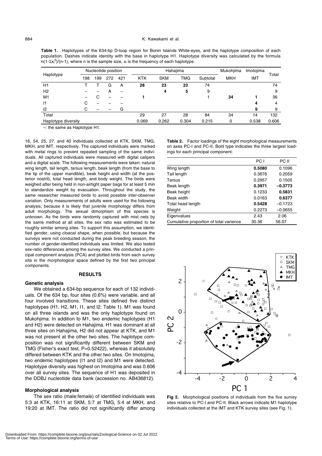**Table 1.** Haplotypes of the 634-bp D-loop region for Bonin Islands White-eyes, and the haplotype composition of each population. Dashes indicate identity with the base in haplotype H1. Haplotype diversity was calculated by the formula n(1- $\sum x_i^2$ )/(n-1), where n is the sample size,  $x_i$  is the frequency of each haplotype.

| Haplotype           | Nucleotide position |     |     |     | Hahajima   |            |       |          | Mukohjima  | Imotojima | Total |
|---------------------|---------------------|-----|-----|-----|------------|------------|-------|----------|------------|-----------|-------|
|                     | 198                 | 199 | 272 | 421 | <b>KTK</b> | <b>SKM</b> | TMG   | Subtotal | <b>MKH</b> | IMT       |       |
| H1                  |                     |     | G   | А   | 28         | 23         | 23    | 74       |            |           | 74    |
| H <sub>2</sub>      |                     |     |     |     |            | 4          | 5     | 9        |            |           | 9     |
| M <sub>1</sub>      |                     |     |     |     |            |            |       |          | 34         |           | 36    |
| 1                   | ι,                  |     |     |     |            |            |       |          |            | 4         | 4     |
| 12                  |                     |     |     | G   |            |            |       |          |            | 9         | 9     |
| Total               |                     |     |     |     | 29         | 27         | 28    | 84       | 34         | 14        | 132   |
| Haplotype diversity |                     |     |     |     | 0.069      | 0.262      | 0.304 | 0.215    | 0          | 0.538     | 0.606 |

–: the same as Haplotype H1.

16, 54, 25, 27, and 40 individuals collected at KTK, SKM, TMG, MKH, and IMT, respectively. The captured individuals were marked with metal rings to prevent repeated sampling of the same individuals. All captured individuals were measured with digital calipers and a digital scale. The following measurements were taken: natural wing length, tail length, tarsus length, beak length (from the base to the tip of the upper mandible), beak height and width (at the posterior nostril), total head length, and body weight. The birds were weighed after being held in non-airtight paper bags for at least 5 min to standardize weight by evacuation. Throughout the study, the same researcher measured birds to avoid possible inter-observer variation. Only measurements of adults were used for the following analysis, because it is likely that juvenile morphology differs from adult morphology. The sexual dimorphism of this species is unknown. As the birds were randomly captured with mist nets by the same method at all sites, the sex ratio was estimated to be roughly similar among sites. To support this assumption, we identified gender, using cloacal shape, when possible, but because the surveys were not conducted during the peak breeding season, the number of gender-identified individuals was limited. We also tested sex-ratio differences among the survey sites. We conducted a principal component analysis (PCA) and plotted birds from each survey site in the morphological space defined by the first two principal components.

#### **RESULTS**

#### **Genetic analysis**

We obtained a 634-bp sequence for each of 132 individuals. Of the 634 bp, four sites (0.6%) were variable, and all four involved transitions. These sites defined five distinct haplotypes (H1, H2, M1, I1, and I2; Table 1). M1 was found on all three islands and was the only haplotype found on Mukohjima. In addition to M1, two endemic haplotypes (H1 and H2) were detected on Hahajima. H1 was dominant at all three sites on Hahajima, H2 did not appear at KTK, and M1 was not present at the other two sites. The haplotype composition was not significantly different between SKM and TMG (Fisher's exact test, P=0.52422), whereas it absolutely differed between KTK and the other two sites. On Imotojima, two endemic haplotypes (I1 and I2) and M1 were detected. Haplotype diversity was highest on Imotojima and was 0.606 over all survey sites. The sequence of H1 was deposited in the DDBJ nucleotide data bank (accession no. AB436812).

#### **Morphological analysis**

The sex ratio (male:female) of identified individuals was 5:3 at KTK, 16:11 at SKM, 5:7 at TMG, 5:4 at MKH, and 19:20 at IMT. The ratio did not significantly differ among **Table 2.** Factor loadings of the eight morphological measurements on axes PC-I and PC-II. Bold type indicates the three largest loadings for each principal component.

|                                         | PC I   | PC II     |
|-----------------------------------------|--------|-----------|
| Wing length                             | 0.5080 | 0.1096    |
| Tail length                             | 0.3676 | 0.2059    |
| Tarsus                                  | 0.2957 | 0.1505    |
| Beak length                             | 0.3971 | $-0.3773$ |
| Beak height                             | 0.1233 | 0.5831    |
| Beak width                              | 0.0163 | 0.6377    |
| Total head length                       | 0.5428 | $-0.1723$ |
| Weight                                  | 0.2273 | $-0.0655$ |
| Eigenvalues                             | 2.43   | 2.06      |
| Cumulative proportion of total varience | 30.36  | 56.07     |



**Fig 2.** Morphological positions of individuals from the five survey sites relative to PC-I and PC-II. Black arrows indicate M1 haplotype individuals collected at the IMT and KTK survey sites (see Fig. 1).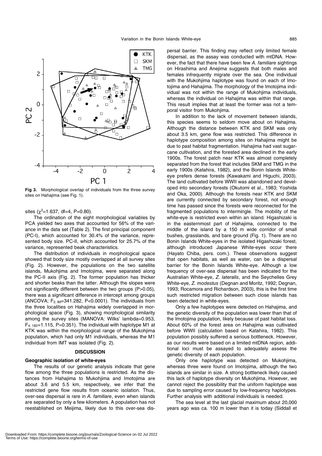

**Fig 3.** Morphological overlap of individuals from the three survey sites on Hahajima (see Fig. 1).

sites  $(\chi^2=1.637, df=4, P=0.80)$ .

The ordination of the eight morphological variables by PCA yielded two axes that accounted for 56% of the variance in the data set (Table 2). The first principal component (PC-I), which accounted for 30.4% of the variance, represented body size. PC-II, which accounted for 25.7% of the variance, represented beak characteristics.

The distribution of individuals in morphological space showed that body size mostly overlapped at all survey sites (Fig. 2). However, the populations on the two satellite islands, Mukohjima and Imotojima, were separated along the PC-II axis (Fig. 2). The former population has thicker and shorter beaks than the latter. Although the slopes were not significantly different between the two groups (P>0.05), there was a significant difference in intercept among groups (ANCOVA;  $F_{2, 89}$ =341.282, P<0.0001). The individuals from the three localities on Hahajima widely overlapped in morphological space (Fig. 3), showing morphological similarity among the survey sites (MANOVA: Wilks' lambda=0.953,  $F_{4, 182}=1.115$ , P=0.351). The individual with haplotype M1 at KTK was within the morphological range of the Mukohjima population, which had only M1 individuals, whereas the M1 individual from IMT was isolated (Fig. 2).

#### **DISCUSSION**

#### **Geographic isolation of white-eyes**

The results of our genetic analysis indicate that gene flow among the three populations is restricted. As the distances from Hahajima to Mukohjima and Imotojima are about 3.6 and 5.5 km, respectively, we infer that the restricted gene flow results from oceanic isolation. Thus, over-sea dispersal is rare in A. familiare, even when islands are separated by only a few kilometers. A population has not reestablished on Meijima, likely due to this over-sea dispersal barrier. This finding may reflect only limited female dispersal, as the assay was conducted with mtDNA. However, the fact that there have been few A. familiare sightings on Hirashima and Anejima suggests that both males and females infrequently migrate over the sea. One individual with the Mukohjima haplotype was found on each of Imotojima and Hahajima. The morphology of the Imotojima individual was not within the range of Mukohjima individuals, whereas the individual on Hahajima was within that range. This result implies that at least the former was not a temporal visitor from Mukohjima.

In addition to the lack of movement between islands, this species seems to seldom move about on Hahajima. Although the distance between KTK and SKM was only about 3.5 km, gene flow was restricted. This difference in haplotype composition among sites on Hahajima might be due to past habitat fragmentation. Hahajima had vast sugarcane cultivation, and the forested area declined in the early 1900s. The forest patch near KTK was almost completely separated from the forest that includes SKM and TMG in the early 1900s (Katahira, 1982), and the Bonin Islands Whiteeye prefers dense forests (Kawakami and Higuchi, 2003). The land cultivated before WWII was abandoned and developed into secondary forests (Okutomi et al., 1983; Yoshida and Oka, 2000). Although the forests near KTK and SKM are currently connected by secondary forest, not enough time has passed since the forests were reconnected for the fragmented populations to intermingle. The mobility of the white-eye is restricted even within an island. Higashizaki is in the easternmost part of Hahajima, connected to the middle of the island by a 150 m wide corridor of small bushes, grasslands, and bare ground (Fig. 1). There are no Bonin Islands White-eyes in the isolated Higashizaki forest, although introduced Japanese White-eyes occur there (Hayato Chiba, pers. com.). These observations suggest that open habitats, as well as water, can be a dispersal barrier for the Bonin Islands White-eye. Although a low frequency of over-sea dispersal has been indicated for the Australian White-eye, Z. lateralis, and the Seychelles Grey White-eye, Z. modestus (Degnan and Moritz, 1992; Degnan, 1993; Rocamora and Richardson, 2003), this is the first time such restricted migration between such close islands has been detected in white-eyes.

Only a few haplotypes were detected on Hahajima, and the genetic diversity of the population was lower than that of the Imotojima population, likely because of past habitat loss. About 60% of the forest area on Hahajima was cultivated before WWII (calculation based on Katahira, 1982). This population possibly suffered a serious bottleneck. However, as our results were based on a limited mtDNA region, additional loci must be assayed to adequately assess the genetic diversity of each population.

Only one haplotype was detected on Mukohjima, whereas three were found on Imotojima, although the two islands are similar in size. A strong bottleneck likely caused this lack of haplotype diversity on Mukohjima. However, we cannot reject the possibility that the uniform haplotype was due to sampling error caused by low-frequency haplotypes. Further analysis with additional individuals is needed.

The sea level at the last glacial maximum about 20,000 years ago was ca. 100 m lower than it is today (Siddall et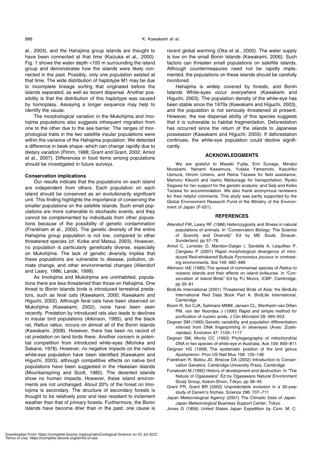al., 2003), and the Hahajima group islands are thought to have been connected at that time (Kaizuka et al., 2000). Fig. 1 shows the water depth <100 m surrounding the island group and demonstrates how the islands were likely connected in the past. Possibly, only one population existed at that time. The wide distribution of haplotype M1 may be due to incomplete lineage sorting that originated before the islands separated, as well as recent dispersal. Another possibility is that the distribution of this haplotype was caused by homoplasy. Assaying a longer sequence may help to identify the cause.

The morphological variation in the Mukohjima and Imotojima populations also suggests infrequent migration from one to the other due to the sea barrier. The ranges of morphological traits in the two satellite insular populations were within the variance of the Hahajima population. We detected a difference in beak shape, which can change rapidly due to dietary variation (Pimm, 1988; Grant and Grant, 2002; Amiot et al., 2007). Differences in food items among populations should be investigated in future surveys.

#### **Conservation implications**

Our results indicate that the populations on each island are independent from others. Each population on each island should be conserved as an evolutionarily significant unit. This finding highlights the importance of conserving the smaller populations on the satellite islands. Such small populations are more vulnerable to stochastic events, and they cannot be complemented by individuals from other populations because of the possibility of genetic contamination (Frankham et al., 2002). The genetic diversity of the entire Hahajima group population is not low, compared to other threatened species (cf. Koike and Matsui, 2003). However, no population is particularly genetically diverse, especially on Mukohjima. The lack of genetic diversity implies that these populations are vulnerable to disease, pollution, climate change, and other environmental changes (Allendorf and Leary, 1986; Lande, 1999).

As Imotojima and Mukohjima are uninhabited, populations there are less threatened than those on Hahajima. One threat to Bonin Islands birds is introduced terrestrial predators, such as feral cats (Kawakami, 2000; Kawakami and Higuchi, 2002). Although feral cats have been observed on Mukohjima (Kawakami, 2002), none have been seen recently. Predation by introduced rats also leads to declines in insular bird populations (Atkinson, 1985), and the black rat, Rattus rattus, occurs on almost all of the Bonin Islands (Kawakami, 2008). However, there has been no record of rat predation on land birds there. Another concern is potential competition from introduced white-eyes (Morioka and Sakane, 1978). However, no negative impacts on the native white-eye population have been identified (Kawakami and Higuchi, 2003), although competitive effects on native bird populations have been suggested in the Hawaiian Islands (Mountainspring and Scott, 1985). The deserted islands show no human impacts. However, these island environments are not unchanged. About 20% of the forest on Imotojima is secondary. The structure of secondary forests is thought to be relatively poor and less resistant to inclement weather than that of primary forests. Furthermore, the Bonin Islands have become drier than in the past; one cause is

recent global warming (Oka et al., 2000). The water supply is low on the small Bonin Islands (Kawakami, 2006). Such factors can threaten small populations on satellite islands. Although countermeasures need not be rapidly implemented, the populations on these islands should be carefully monitored.

Hahajima is widely covered by forests, and Bonin Islands White-eyes occur everywhere (Kawakami and Higuchi, 2003). The population density of the white-eye has been stable since the 1970s (Kawakami and Higuchi, 2003), and the population is not seriously threatened at present. However, the low dispersal ability of this species suggests that it is vulnerable to habitat fragmentation. Deforestation has occurred since the return of the islands to Japanese possession (Kawakami and Higuchi, 2003). If deforestation continues, the white-eye population could decline significantly.

#### **ACKNOWLEDGMENTS**

We are grateful to Masaki Fujita, Emi Sunaga, Minako Murakami, Nanami Kawamura, Yutaka Yamamoto, Kazuhiko Uemura, Hiromi Umeno, and Reina Tazawa for field assistance; Mamoru Kikuchi and Isamu Matsunaga for transportation; Ryoko Segawa for her support for the genetic analysis; and Seiji and Keiko Tazawa for accommodation. We also thank anonymous reviewers for their helpful comments. This study was partly supported by the Global Environment Research Fund of the Ministry of the Environment of Japan (F-051).

#### **REFERENCES**

- Allendorf FW, Leary RF (1986) Heterozygosity and fitness in natural populations of animals. In "Conservation Biology: The Science of Scarcity and Diversity" Ed by ME Soulé, Sinauer, Sunderland, pp 57–76
- Amiot C, Lorvelec O, Mandon-Dalger I, Sardella A, Lequilliec P, Clergeau P (2007) Rapid morphological divergence of introduced Red-whiskered Bulbuls Pycnonotus jocosus in contrasting environments. Ibis 149: 482–489
- Atkinson IAE (1985) The spread of commensal species of Rattus to oceanic islands and their effects on island avifaunas. In "Conservation of Island Birds" Ed by PJ Moors, ICBP, Cambridge, pp 35–81
- BirdLife International (2001) Threatened Birds of Asia: the BirdLife International Red Data Book Part A. BirdLife International, **Cambridge**
- Boom R, Sol CJA, Salimans MMM, Jansen CL, Wertheim-van Dillen PM, van der Noordaa J (1990) Rapid and simple method for purification of nucleic acids. J Clin Microbiol 28: 495–503
- Degnan SM (1993) Genetic variability and population differentiation inferred from DNA fingerprinting in silvereyes (Aves: Zosteropidae). Evolution 47: 1105–1117
- Degnan SM, Moritz CC (1992) Phylogeography of mitochondrial DNA in two species of white-eye in Australia. Auk 109: 800–811
- Deignan HG (1958) The systematic position of the bird genus Apalopteron. Proc US Natl Mus 108: 133–136
- Frankham R, Ballou JD, Briscoe DA (2002) Introduction to Conservation Genetics. Cambridge University Press, Cambridge
- Funakoshi M (1992) History of development and destruction. In "The Nature of Ogasawara" Ed by Ogasawara Natural Environment Study Group, Kokon-Shoin, Tokyo, pp 38–45
- Grant PR, Grant BR (2002) Unpredictable evolution in a 30-year study of Darwin's finches. Science 296: 707–711
- Japan Meteorological Agency (2001) The Climatic Data of Japan. Japan Meteorological Business Support Center, Tokyo
- Jones G (1856) United States Japan Expedition by Com. M. C.